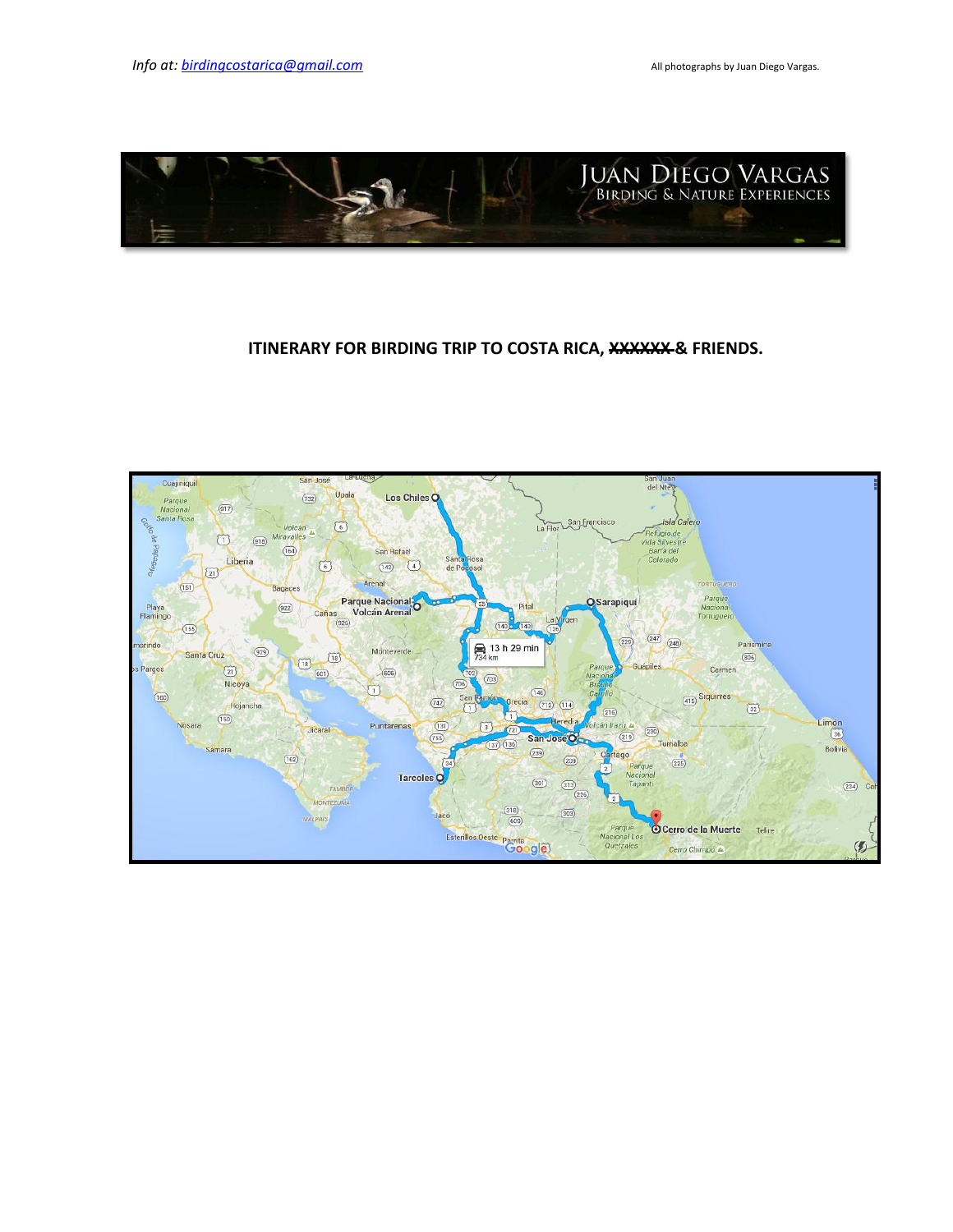

# **ITINERARY FOR BIRDING TRIP TO COSTA RICA, XXXXXX & FRIENDS.**

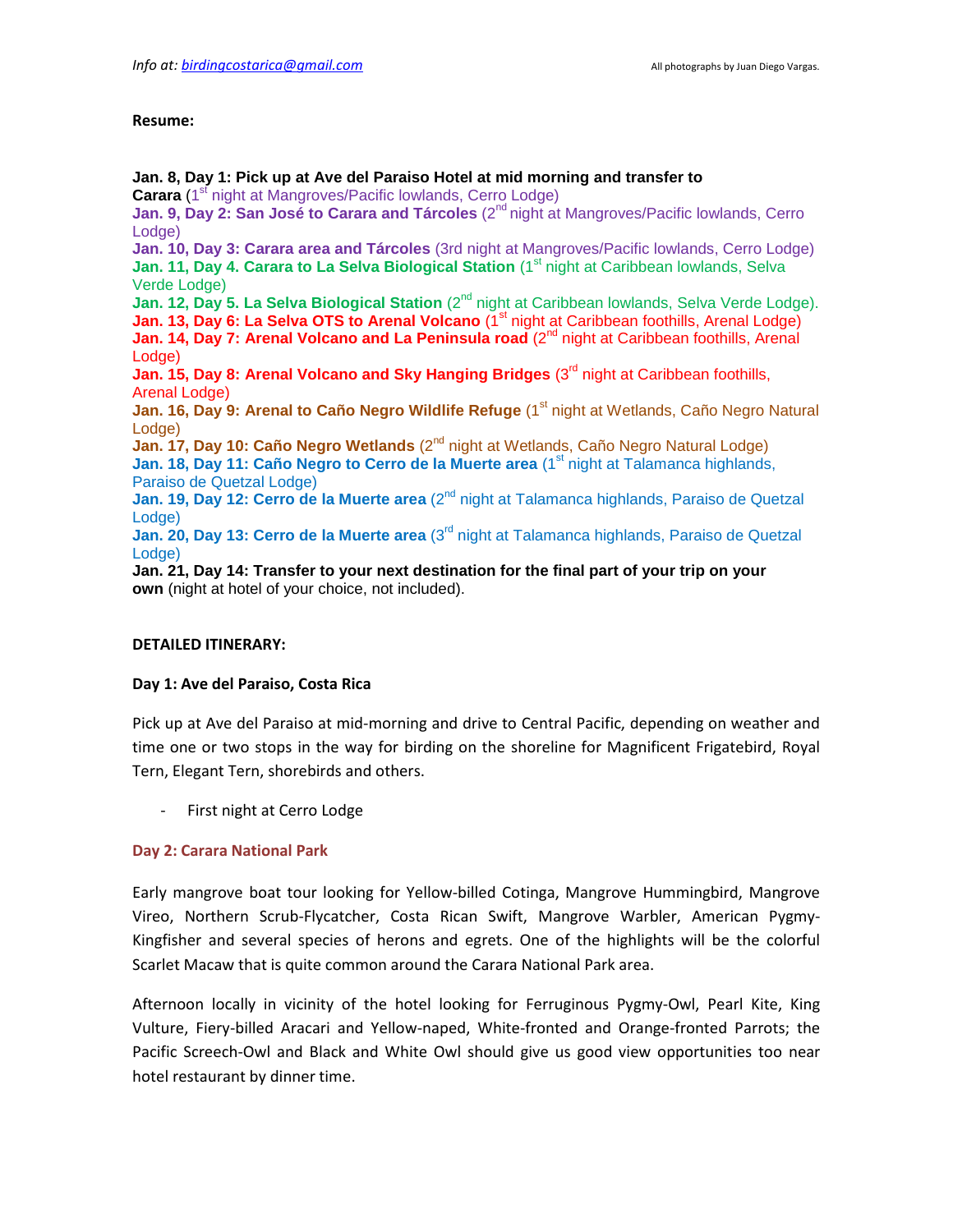### **Resume:**

**Jan. 8, Day 1: Pick up at Ave del Paraiso Hotel at mid morning and transfer to**  Carara (1<sup>st</sup> night at Mangroves/Pacific lowlands, Cerro Lodge) Jan. 9, Day 2: San José to Carara and Tárcoles (2<sup>nd</sup> night at Mangroves/Pacific lowlands, Cerro Lodge) **Jan. 10, Day 3: Carara area and Tárcoles** (3rd night at Mangroves/Pacific lowlands, Cerro Lodge) **Jan. 11, Day 4. Carara to La Selva Biological Station** (1<sup>st</sup> night at Caribbean lowlands, Selva Verde Lodge) **Jan. 12, Day 5. La Selva Biological Station** (2<sup>nd</sup> night at Caribbean lowlands, Selva Verde Lodge). Jan. 13, Day 6: La Selva OTS to Arenal Volcano (1<sup>st</sup> night at Caribbean foothills, Arenal Lodge) Jan. 14, Day 7: Arenal Volcano and La Peninsula road (2<sup>nd</sup> night at Caribbean foothills, Arenal Lodge) **Jan. 15, Day 8: Arenal Volcano and Sky Hanging Bridges** (3rd night at Caribbean foothills, Arenal Lodge) **Jan. 16, Day 9: Arenal to Caño Negro Wildlife Refuge** (1<sup>st</sup> night at Wetlands, Caño Negro Natural Lodge) **Jan. 17, Day 10: Caño Negro Wetlands** (2<sup>nd</sup> night at Wetlands, Caño Negro Natural Lodge) Jan. 18, Day 11: Caño Negro to Cerro de la Muerte area (1<sup>st</sup> night at Talamanca highlands, Paraiso de Quetzal Lodge) **Jan. 19, Day 12: Cerro de la Muerte area** (2nd night at Talamanca highlands, Paraiso de Quetzal Lodge) **Jan. 20, Day 13: Cerro de la Muerte area** (3rd night at Talamanca highlands, Paraiso de Quetzal Lodge) **Jan. 21, Day 14: Transfer to your next destination for the final part of your trip on your own** (night at hotel of your choice, not included).

## **DETAILED ITINERARY:**

## **Day 1: Ave del Paraiso, Costa Rica**

Pick up at Ave del Paraiso at mid-morning and drive to Central Pacific, depending on weather and time one or two stops in the way for birding on the shoreline for Magnificent Frigatebird, Royal Tern, Elegant Tern, shorebirds and others.

- First night at Cerro Lodge

## **Day 2: Carara National Park**

Early mangrove boat tour looking for Yellow-billed Cotinga, Mangrove Hummingbird, Mangrove Vireo, Northern Scrub-Flycatcher, Costa Rican Swift, Mangrove Warbler, American Pygmy-Kingfisher and several species of herons and egrets. One of the highlights will be the colorful Scarlet Macaw that is quite common around the Carara National Park area.

Afternoon locally in vicinity of the hotel looking for Ferruginous Pygmy-Owl, Pearl Kite, King Vulture, Fiery-billed Aracari and Yellow-naped, White-fronted and Orange-fronted Parrots; the Pacific Screech-Owl and Black and White Owl should give us good view opportunities too near hotel restaurant by dinner time.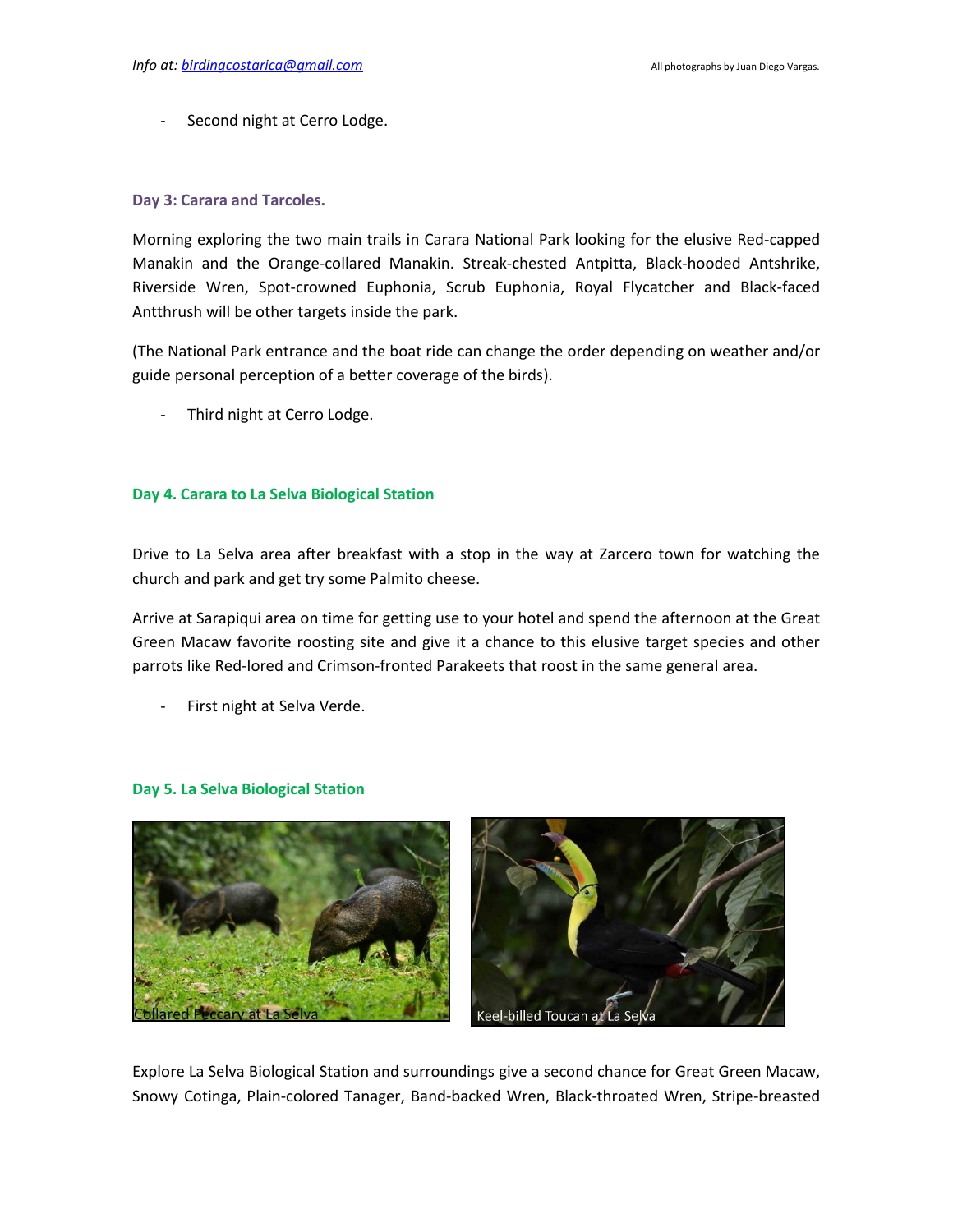Second night at Cerro Lodge.

## **Day 3: Carara and Tarcoles.**

Morning exploring the two main trails in Carara National Park looking for the elusive Red-capped Manakin and the Orange-collared Manakin. Streak-chested Antpitta, Black-hooded Antshrike, Riverside Wren, Spot-crowned Euphonia, Scrub Euphonia, Royal Flycatcher and Black-faced Antthrush will be other targets inside the park.

(The National Park entrance and the boat ride can change the order depending on weather and/or guide personal perception of a better coverage of the birds).

Third night at Cerro Lodge.

## **Day 4. Carara to La Selva Biological Station**

Drive to La Selva area after breakfast with a stop in the way at Zarcero town for watching the church and park and get try some Palmito cheese.

Arrive at Sarapiqui area on time for getting use to your hotel and spend the afternoon at the Great Green Macaw favorite roosting site and give it a chance to this elusive target species and other parrots like Red-lored and Crimson-fronted Parakeets that roost in the same general area.

First night at Selva Verde.



## **Day 5. La Selva Biological Station**

Explore La Selva Biological Station and surroundings give a second chance for Great Green Macaw, Snowy Cotinga, Plain-colored Tanager, Band-backed Wren, Black-throated Wren, Stripe-breasted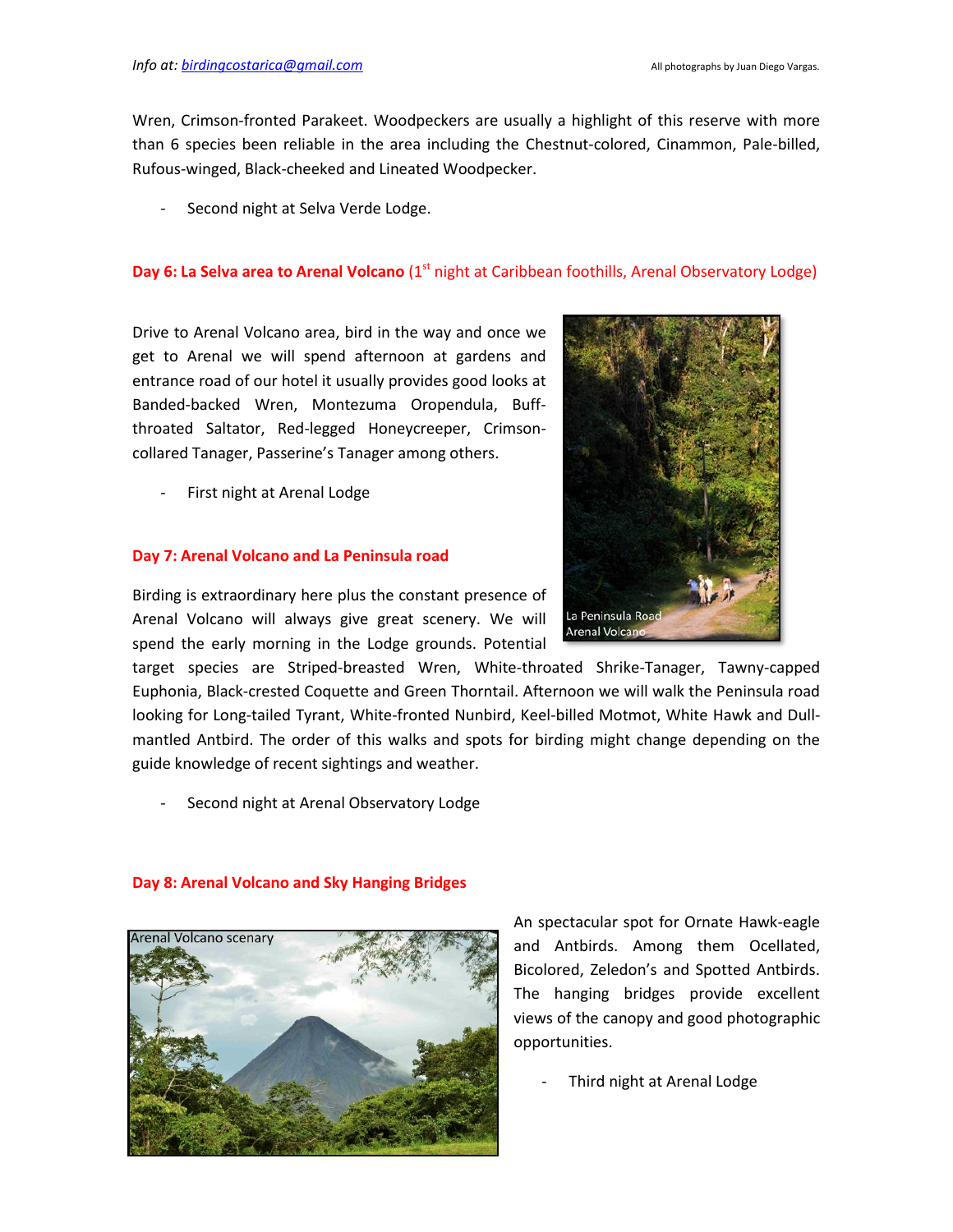Wren, Crimson-fronted Parakeet. Woodpeckers are usually a highlight of this reserve with more than 6 species been reliable in the area including the Chestnut-colored, Cinammon, Pale-billed, Rufous-winged, Black-cheeked and Lineated Woodpecker.

Second night at Selva Verde Lodge.

## **Day 6: La Selva area to Arenal Volcano** (1<sup>st</sup> night at Caribbean foothills, Arenal Observatory Lodge)

Drive to Arenal Volcano area, bird in the way and once we get to Arenal we will spend afternoon at gardens and entrance road of our hotel it usually provides good looks at Banded-backed Wren, Montezuma Oropendula, Buffthroated Saltator, Red-legged Honeycreeper, Crimsoncollared Tanager, Passerine's Tanager among others.

First night at Arenal Lodge

## **Day 7: Arenal Volcano and La Peninsula road**

Birding is extraordinary here plus the constant presence of Arenal Volcano will always give great scenery. We will spend the early morning in the Lodge grounds. Potential

target species are Striped-breasted Wren, White-throated Shrike-Tanager, Tawny-capped Euphonia, Black-crested Coquette and Green Thorntail. Afternoon we will walk the Peninsula road looking for Long-tailed Tyrant, White-fronted Nunbird, Keel-billed Motmot, White Hawk and Dullmantled Antbird. The order of this walks and spots for birding might change depending on the guide knowledge of recent sightings and weather.

Second night at Arenal Observatory Lodge



## **Day 8: Arenal Volcano and Sky Hanging Bridges**

An spectacular spot for Ornate Hawk-eagle and Antbirds. Among them Ocellated, Bicolored, Zeledon's and Spotted Antbirds. The hanging bridges provide excellent views of the canopy and good photographic opportunities.

Third night at Arenal Lodge

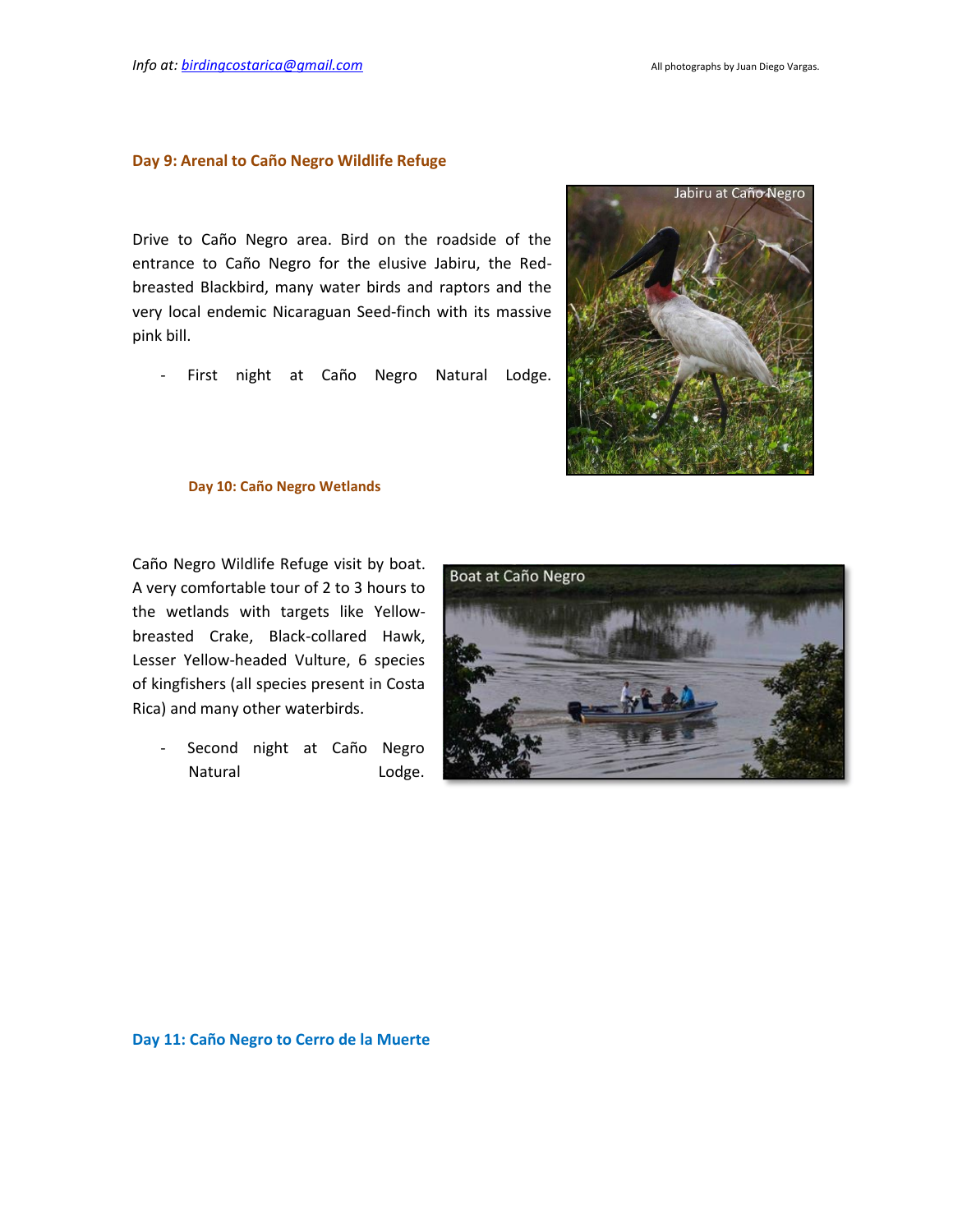#### **Day 9: Arenal to Caño Negro Wildlife Refuge**

Drive to Caño Negro area. Bird on the roadside of the entrance to Caño Negro for the elusive Jabiru, the Redbreasted Blackbird, many water birds and raptors and the very local endemic Nicaraguan Seed-finch with its massive pink bill.

- First night at Caño Negro Natural Lodge.



### **Day 10: Caño Negro Wetlands**

Caño Negro Wildlife Refuge visit by boat. A very comfortable tour of 2 to 3 hours to the wetlands with targets like Yellowbreasted Crake, Black-collared Hawk, Lesser Yellow-headed Vulture, 6 species of kingfishers (all species present in Costa Rica) and many other waterbirds.

> Second night at Caño Negro Natural Lodge.



### **Day 11: Caño Negro to Cerro de la Muerte**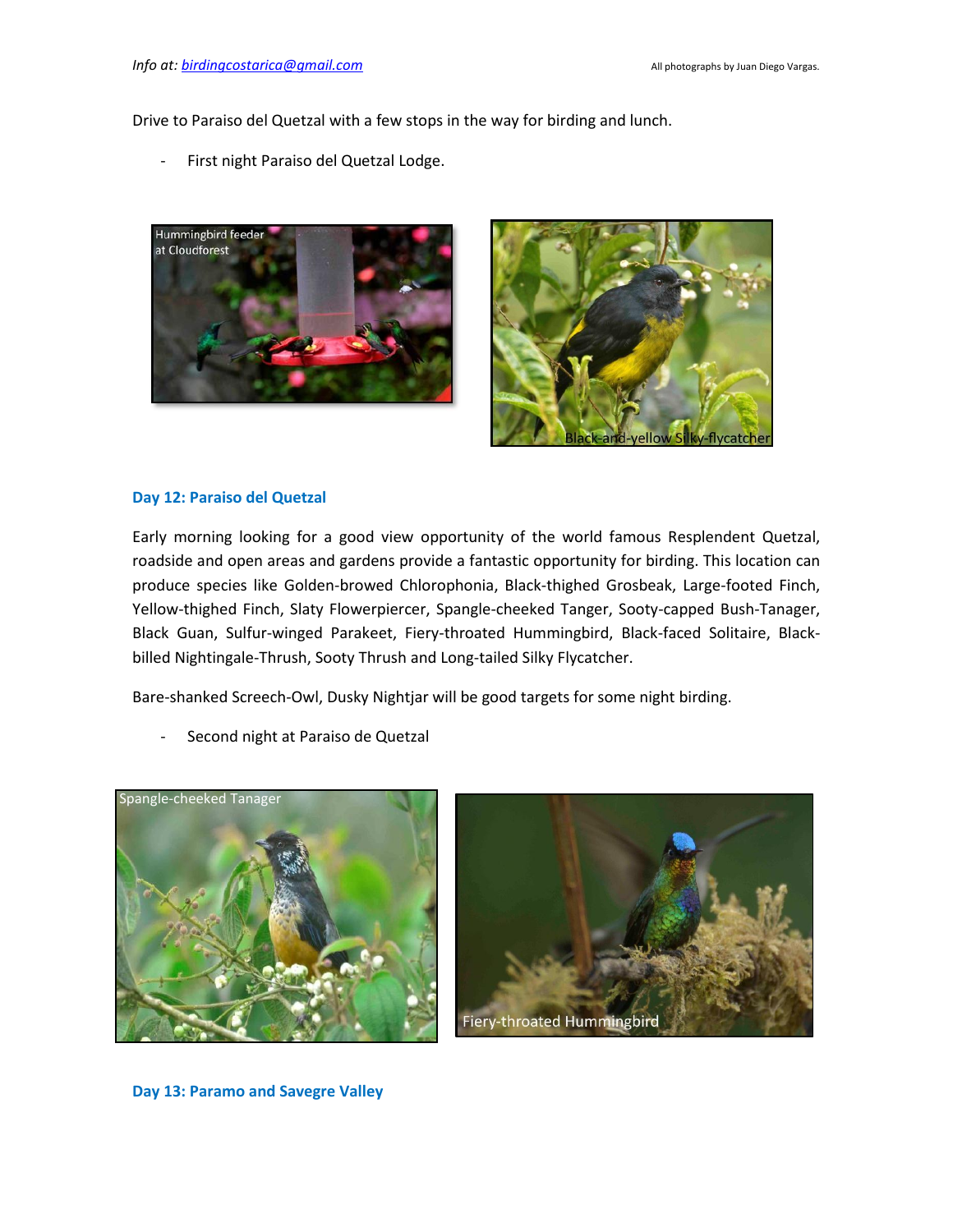Drive to Paraiso del Quetzal with a few stops in the way for birding and lunch.

- First night Paraiso del Quetzal Lodge.





## **Day 12: Paraiso del Quetzal**

Early morning looking for a good view opportunity of the world famous Resplendent Quetzal, roadside and open areas and gardens provide a fantastic opportunity for birding. This location can produce species like Golden-browed Chlorophonia, Black-thighed Grosbeak, Large-footed Finch, Yellow-thighed Finch, Slaty Flowerpiercer, Spangle-cheeked Tanger, Sooty-capped Bush-Tanager, Black Guan, Sulfur-winged Parakeet, Fiery-throated Hummingbird, Black-faced Solitaire, Blackbilled Nightingale-Thrush, Sooty Thrush and Long-tailed Silky Flycatcher.

Bare-shanked Screech-Owl, Dusky Nightjar will be good targets for some night birding.

Second night at Paraiso de Quetzal





**Day 13: Paramo and Savegre Valley**